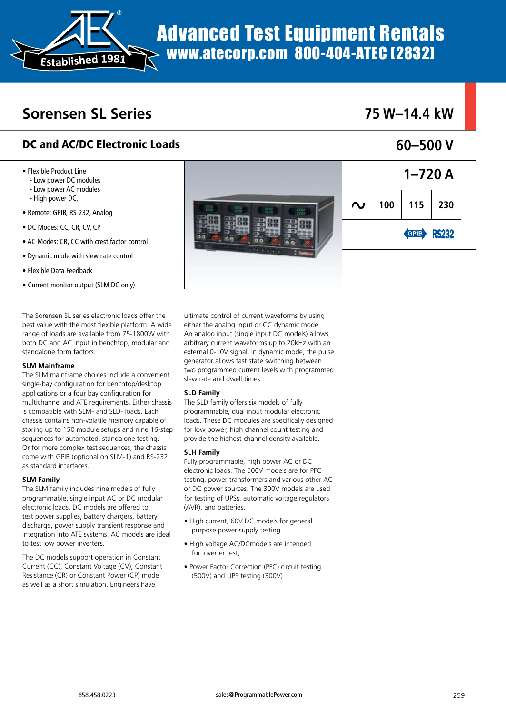

# Advanced Test Equipment Rentals www.atecorp.com 800-404-ATEC (2832)

## **Sorensen SL Series**

## DC and AC/DC Electronic Loads

- Flexible Product Line
	- Low power DC modules
	- Low power AC modules
	- High power DC,
- Remote: GPIB, RS-232, Analog
- DC Modes: CC, CR, CV, CP
- AC Modes: CR, CC with crest factor control
- Dynamic mode with slew rate control
- Flexible Data Feedback
- Current monitor output (SLM DC only)

The Sorensen SL series electronic loads offer the best value with the most flexible platform. A wide range of loads are available from 75-1800W with both DC and AC input in benchtop, modular and standalone form factors.

### **SLM Mainframe**

The SLM mainframe choices include a convenient single-bay configuration for benchtop/desktop applications or a four bay configuration for multichannel and ATE requirements. Either chassis is compatible with SLM- and SLD- loads. Each chassis contains non-volatile memory capable of storing up to 150 module setups and nine 16-step sequences for automated, standalone testing. Or for more complex test sequences, the chassis come with GPIB (optional on SLM-1) and RS-232 as standard interfaces.

### **SLM Family**

The SLM family includes nine models of fully programmable, single input AC or DC modular electronic loads. DC models are offered to test power supplies, battery chargers, battery discharge, power supply transient response and integration into ATE systems. AC models are ideal to test low power inverters.

The DC models support operation in Constant Current (CC), Constant Voltage (CV), Constant Resistance (CR) or Constant Power (CP) mode as well as a short simulation. Engineers have



ultimate control of current waveforms by using either the analog input or CC dynamic mode. An analog input (single input DC models) allows arbitrary current waveforms up to 20kHz with an external 0-10V signal. In dynamic mode, the pulse generator allows fast state switching between two programmed current levels with programmed slew rate and dwell times.

### **SLD Family**

The SLD family offers six models of fully programmable, dual input modular electronic loads. These DC modules are specifically designed for low power, high channel count testing and provide the highest channel density available.

### **SLH Family**

Fully programmable, high power AC or DC electronic loads. The 500V models are for PFC testing, power transformers and various other AC or DC power sources. The 300V models are used for testing of UPSs, automatic voltage regulators (AVR), and batteries.

- High current, 60V DC models for general purpose power supply testing
- High voltage,AC/DCmodels are intended for inverter test,
- Power Factor Correction (PFC) circuit testing (500V) and UPS testing (300V)

| 75 W–14.4 kW |     |                                                              |  |  |
|--------------|-----|--------------------------------------------------------------|--|--|
| $60 - 500$ V |     |                                                              |  |  |
|              |     | $1 - 720A$                                                   |  |  |
|              | 100 | $\begin{array}{ c c c } \hline 115 & 230 \hline \end{array}$ |  |  |
|              |     | <b>GRIE</b> RS232                                            |  |  |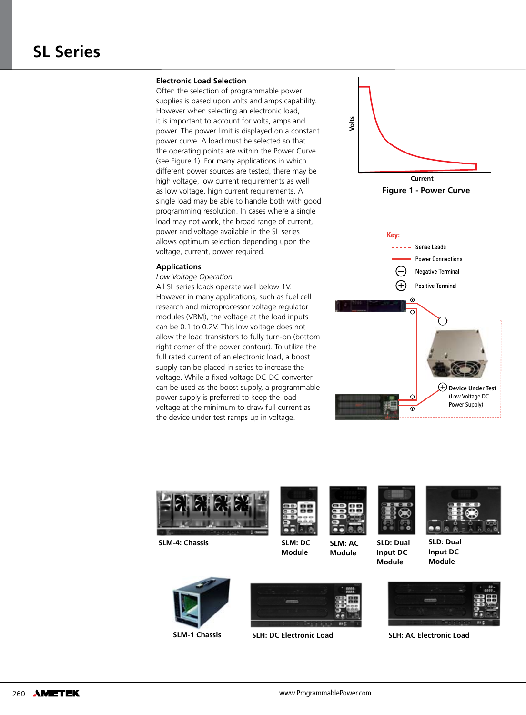#### **Electronic Load Selection**

Often the selection of programmable power supplies is based upon volts and amps capability. However when selecting an electronic load, it is important to account for volts, amps and power. The power limit is displayed on a constant power curve. A load must be selected so that the operating points are within the Power Curve (see Figure 1). For many applications in which different power sources are tested, there may be high voltage, low current requirements as well as low voltage, high current requirements. A single load may be able to handle both with good programming resolution. In cases where a single load may not work, the broad range of current, power and voltage available in the SL series allows optimum selection depending upon the voltage, current, power required.

#### **Applications**

*Low Voltage Operation*

All SL series loads operate well below 1V. However in many applications, such as fuel cell research and microprocessor voltage regulator modules (VRM), the voltage at the load inputs can be 0.1 to 0.2V. This low voltage does not allow the load transistors to fully turn-on (bottom right corner of the power contour). To utilize the full rated current of an electronic load, a boost supply can be placed in series to increase the voltage. While a fixed voltage DC-DC converter can be used as the boost supply, a programmable power supply is preferred to keep the load voltage at the minimum to draw full current as the device under test ramps up in voltage.





**SLM-4: Chassis SLD: Dual** 







**SLM: AC Module**





**Input DC Module**



**SLD: Dual Input DC Module**



**SLM-1 Chassis SLH: DC Electronic Load SLH: AC Electronic Load**



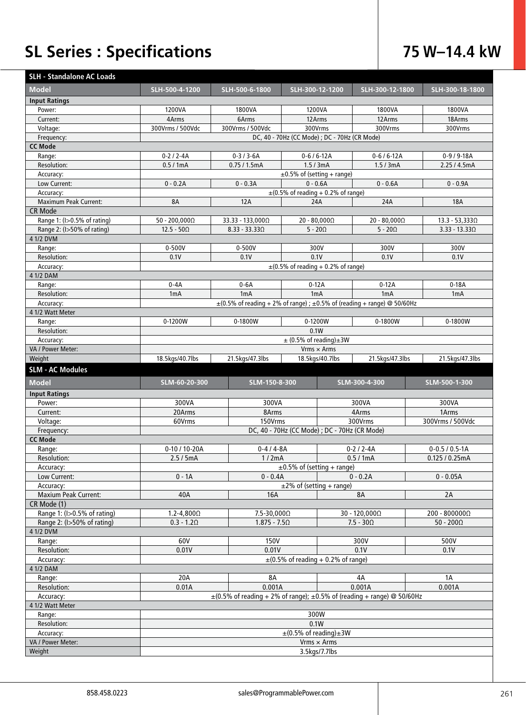# **SL Series : Specifications 75 W–14.4 kW**

| <b>SLH - Standalone AC Loads</b> |                                                                    |                       |                                                                                   |                      |                      |  |  |  |
|----------------------------------|--------------------------------------------------------------------|-----------------------|-----------------------------------------------------------------------------------|----------------------|----------------------|--|--|--|
| <b>Model</b>                     | SLH-500-4-1200                                                     | SLH-500-6-1800        | SLH-300-12-1200                                                                   | SLH-300-12-1800      | SLH-300-18-1800      |  |  |  |
| <b>Input Ratings</b>             |                                                                    |                       |                                                                                   |                      |                      |  |  |  |
| Power:                           | 1200VA                                                             | 1800VA                | 1200VA                                                                            | 1800VA               | 1800VA               |  |  |  |
| Current:                         | 4Arms                                                              | 6Arms                 | 12Arms                                                                            | 12Arms               | 18Arms               |  |  |  |
| Voltage:                         | 300Vrms / 500Vdc                                                   | 300Vrms / 500Vdc      | 300Vrms                                                                           | 300Vrms              | 300Vrms              |  |  |  |
| Frequency:                       |                                                                    |                       | DC, 40 - 70Hz (CC Mode) ; DC - 70Hz (CR Mode)                                     |                      |                      |  |  |  |
| <b>CC Mode</b>                   |                                                                    |                       |                                                                                   |                      |                      |  |  |  |
| Range:                           | $0-2/2-4A$                                                         | $0-3/3-6A$            | $0 - 6 / 6 - 12A$                                                                 | $0-6/6-12A$          | $0-9/9-18A$          |  |  |  |
| Resolution:                      | 0.5/1mA                                                            | 0.75/1.5mA            | 1.5/3mA                                                                           | 1.5/3mA              | 2.25 / 4.5mA         |  |  |  |
| Accuracy:                        | $\pm 0.5\%$ of (setting + range)                                   |                       |                                                                                   |                      |                      |  |  |  |
| Low Current:                     | $0 - 0.6A$<br>$0 - 0.2A$<br>$0 - 0.3A$<br>$0 - 0.6A$<br>$0 - 0.9A$ |                       |                                                                                   |                      |                      |  |  |  |
| Accuracy:                        |                                                                    |                       | $\pm$ (0.5% of reading + 0.2% of range)                                           |                      |                      |  |  |  |
| Maximum Peak Current:            | 8A                                                                 | <b>12A</b>            | 24A                                                                               | 24A                  | <b>18A</b>           |  |  |  |
| <b>CR Mode</b>                   |                                                                    |                       |                                                                                   |                      |                      |  |  |  |
| Range 1: (I>0.5% of rating)      | $50 - 200,0000$                                                    | 33.33 - 133,0000      | $20 - 80,000\Omega$                                                               | $20 - 80,000\Omega$  | $13.3 - 53,3330$     |  |  |  |
| Range 2: (I>50% of rating)       | $12.5 - 50\Omega$                                                  | $8.33 - 33.33 \Omega$ | $5 - 20\Omega$                                                                    | $5 - 20\Omega$       | $3.33 - 13.330$      |  |  |  |
| 4 1/2 DVM                        |                                                                    |                       |                                                                                   |                      |                      |  |  |  |
| Range:                           | $0 - 500V$                                                         | $0 - 500V$            | 300V                                                                              | 300V                 | 300V                 |  |  |  |
| Resolution:                      | 0.1V                                                               | 0.1V                  | 0.1V                                                                              | 0.1V                 | 0.1V                 |  |  |  |
| Accuracy:                        |                                                                    |                       | $\pm$ (0.5% of reading + 0.2% of range)                                           |                      |                      |  |  |  |
| 4 1/2 DAM                        |                                                                    |                       |                                                                                   |                      |                      |  |  |  |
| Range:                           | $0 - 4A$                                                           | $0-6A$                | $0-12A$                                                                           | $0-12A$              | $0-18A$              |  |  |  |
| Resolution:                      | 1 <sub>m</sub> A                                                   | 1 <sub>m</sub> A      | 1mA                                                                               | 1mA                  | 1mA                  |  |  |  |
| Accuracy:                        |                                                                    |                       | $\pm$ (0.5% of reading + 2% of range) ; $\pm$ 0.5% of (reading + range) @ 50/60Hz |                      |                      |  |  |  |
| 4 1/2 Watt Meter                 |                                                                    |                       |                                                                                   |                      |                      |  |  |  |
| Range:                           | 0-1200W                                                            | 0-1800W               | 0-1200W                                                                           | 0-1800W              | 0-1800W              |  |  |  |
| Resolution:                      |                                                                    |                       | 0.1W                                                                              |                      |                      |  |  |  |
| Accuracy:                        | $\pm$ (0.5% of reading) $\pm$ 3W                                   |                       |                                                                                   |                      |                      |  |  |  |
| VA / Power Meter:                |                                                                    |                       | $Vrms \times Arms$                                                                |                      |                      |  |  |  |
| Weight                           | 18.5kgs/40.7lbs                                                    | 21.5kgs/47.3lbs       | 18.5kgs/40.7lbs                                                                   | 21.5kgs/47.3lbs      | 21.5kgs/47.3lbs      |  |  |  |
|                                  |                                                                    |                       |                                                                                   |                      |                      |  |  |  |
| <b>SLM - AC Modules</b>          |                                                                    |                       |                                                                                   |                      |                      |  |  |  |
| <b>Model</b>                     | SLM-60-20-300                                                      | SLM-150-8-300         |                                                                                   | SLM-300-4-300        | SLM-500-1-300        |  |  |  |
|                                  |                                                                    |                       |                                                                                   |                      |                      |  |  |  |
| <b>Input Ratings</b>             |                                                                    |                       |                                                                                   |                      |                      |  |  |  |
| Power:<br>Current:               | 300VA<br>20Arms                                                    | 300VA<br>8Arms        |                                                                                   | 300VA<br>4Arms       | 300VA<br>1Arms       |  |  |  |
|                                  |                                                                    | 150Vrms               |                                                                                   | 300Vrms              | 300Vrms / 500Vdc     |  |  |  |
| Voltage:                         | 60Vrms                                                             |                       |                                                                                   |                      |                      |  |  |  |
| Frequency:<br><b>CC Mode</b>     |                                                                    |                       | DC, 40 - 70Hz (CC Mode) ; DC - 70Hz (CR Mode)                                     |                      |                      |  |  |  |
| Range:                           | 0-10 / 10-20A                                                      | $0 - 4 / 4 - 8A$      |                                                                                   | $0-2/2-4A$           | $0 - 0.5 / 0.5 - 1A$ |  |  |  |
| Resolution:                      | 2.5/5mA                                                            | 1/2mA                 |                                                                                   | 0.5/1mA              | 0.125 / 0.25mA       |  |  |  |
| Accuracy:                        |                                                                    |                       | $\pm 0.5\%$ of (setting + range)                                                  |                      |                      |  |  |  |
| Low Current:                     | $0 - 1A$                                                           | $0 - 0.4A$            |                                                                                   | $0 - 0.2A$           | $0 - 0.05A$          |  |  |  |
| Accuracy:                        |                                                                    |                       | $\pm$ 2% of (setting + range)                                                     |                      |                      |  |  |  |
| <b>Maxium Peak Current:</b>      | 40A                                                                | 16A                   |                                                                                   | 8A                   | 2A                   |  |  |  |
| CR Mode (1)                      |                                                                    |                       |                                                                                   |                      |                      |  |  |  |
| Range 1: (I>0.5% of rating)      | $1.2 - 4,800\Omega$                                                | 7.5-30,000 $\Omega$   |                                                                                   | $30 - 120,000\Omega$ | $200 - 8000000$      |  |  |  |
| Range 2: (I>50% of rating)       | $0.3 - 1.2\Omega$                                                  | $1.875 - 7.5\Omega$   |                                                                                   | $7.5 - 30\Omega$     | $50 - 200\Omega$     |  |  |  |
| 4 1/2 DVM                        |                                                                    |                       |                                                                                   |                      |                      |  |  |  |
| Range:                           | 60V                                                                | 150V                  |                                                                                   | 300V                 | 500V                 |  |  |  |
| Resolution:                      | 0.01V                                                              | 0.01V                 |                                                                                   | 0.1V                 | 0.1V                 |  |  |  |
| Accuracy:                        |                                                                    |                       | $\pm$ (0.5% of reading + 0.2% of range)                                           |                      |                      |  |  |  |
| 4 1/2 DAM                        |                                                                    |                       |                                                                                   |                      |                      |  |  |  |
| Range:                           | 20A                                                                | <b>8A</b>             |                                                                                   | 4A                   | 1A                   |  |  |  |
| Resolution:                      | 0.01A                                                              | 0.001A                |                                                                                   | 0.001A               | 0.001A               |  |  |  |
| Accuracy:                        |                                                                    |                       | $\pm$ (0.5% of reading + 2% of range); $\pm$ 0.5% of (reading + range) @ 50/60Hz  |                      |                      |  |  |  |
| 4 1/2 Watt Meter                 |                                                                    |                       |                                                                                   |                      |                      |  |  |  |
| Range:                           |                                                                    |                       | 300W                                                                              |                      |                      |  |  |  |
| Resolution:                      |                                                                    |                       | 0.1W                                                                              |                      |                      |  |  |  |
| Accuracy:                        |                                                                    |                       | $\pm$ (0.5% of reading) $\pm$ 3W                                                  |                      |                      |  |  |  |
| VA / Power Meter:<br>Weight      |                                                                    |                       | $Vrms \times Arms$<br>3.5kgs/7.7lbs                                               |                      |                      |  |  |  |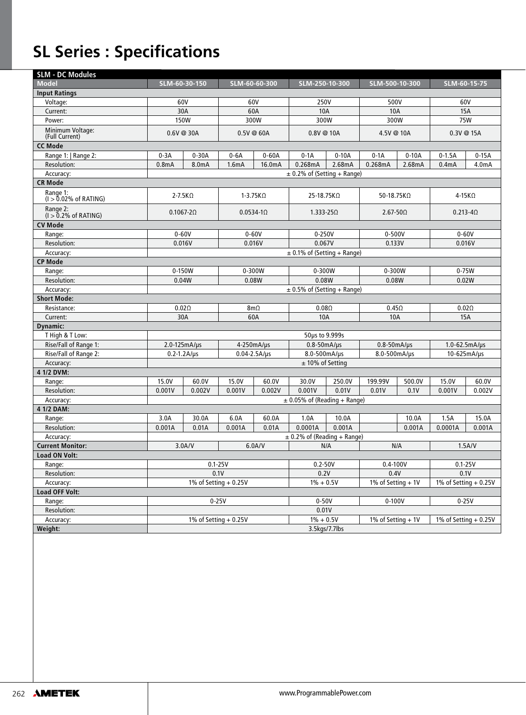# **SL Series : Specifications**

| <b>SLM - DC Modules</b>              |                                 |                    |                        |                                 |                                  |                |                        |            |                        |            |  |
|--------------------------------------|---------------------------------|--------------------|------------------------|---------------------------------|----------------------------------|----------------|------------------------|------------|------------------------|------------|--|
| <b>Model</b>                         | SLM-60-30-150                   |                    | SLM-60-60-300          |                                 | SLM-250-10-300                   |                | SLM-500-10-300         |            | SLM-60-15-75           |            |  |
| <b>Input Ratings</b>                 |                                 |                    |                        |                                 |                                  |                |                        |            |                        |            |  |
| Voltage:                             | 60V                             |                    | 60V                    |                                 | 250V                             |                | 500V                   |            | 60V                    |            |  |
| Current:                             | 30A                             |                    | 60A                    |                                 | <b>10A</b>                       |                | <b>10A</b>             |            | <b>15A</b>             |            |  |
| Power:                               | <b>150W</b>                     |                    |                        | 300W                            |                                  | 300W           |                        | 300W       |                        | 75W        |  |
| Minimum Voltage:<br>(Full Current)   | 0.6V@30A                        |                    |                        | 0.5V@60A                        |                                  | $0.8V \t@ 10A$ |                        | 4.5V @ 10A |                        | 0.3V @ 15A |  |
| <b>CC Mode</b>                       |                                 |                    |                        |                                 |                                  |                |                        |            |                        |            |  |
| Range 1:   Range 2:                  | $0-3A$                          | $0-30A$            |                        | $0-6A$<br>$0-60A$               |                                  | $0-10A$        | $0-1A$                 | $0-10A$    | $0-1.5A$               | $0-15A$    |  |
| Resolution:                          | 0.8 <sub>m</sub> A<br>8.0mA     |                    | 1.6mA                  | 16.0mA                          | $0-1A$<br>0.268mA                | 2.68mA         | 0.268mA                | 2.68mA     | 0.4 <sub>m</sub> A     | 4.0mA      |  |
| Accuracy:                            |                                 |                    |                        | $\pm$ 0.2% of (Setting + Range) |                                  |                |                        |            |                        |            |  |
| <b>CR Mode</b>                       |                                 |                    |                        |                                 |                                  |                |                        |            |                        |            |  |
| Range 1:<br>$(1 > 0.02\%$ of RATING) | $2 - 7.5K\Omega$                |                    | $1-3.75K\Omega$        |                                 | 25-18.75KΩ                       |                | 50-18.75KΩ             |            | $4-15K\Omega$          |            |  |
| Range 2:<br>$(I > 0.2\%$ of RATING)  | $0.1067 - 2\Omega$              |                    | $0.0534 - 10$          |                                 | $1.333 - 25\Omega$               |                | $2.67 - 50\Omega$      |            | $0.213 - 40$           |            |  |
| <b>CV Mode</b>                       |                                 |                    |                        |                                 |                                  |                |                        |            |                        |            |  |
| Range:                               | $0 - 60V$                       |                    |                        | $0 - 60V$                       | $0-250V$                         |                | $0 - 500V$             |            | $0 - 60V$              |            |  |
| Resolution:                          | 0.016V                          |                    | 0.016V                 |                                 | 0.067V                           |                | 0.133V                 |            | 0.016V                 |            |  |
| Accuracy:                            |                                 |                    |                        |                                 | $\pm$ 0.1% of (Setting + Range)  |                |                        |            |                        |            |  |
| <b>CP Mode</b>                       |                                 |                    |                        |                                 |                                  |                |                        |            |                        |            |  |
| Range:                               | 0-150W                          |                    | 0-300W                 |                                 | 0-300W                           |                | 0-300W                 |            | 0-75W                  |            |  |
| Resolution:                          | 0.04W                           |                    | 0.08W                  |                                 | 0.08W                            |                | 0.08W                  |            | 0.02W                  |            |  |
| Accuracy:                            | $\pm$ 0.5% of (Setting + Range) |                    |                        |                                 |                                  |                |                        |            |                        |            |  |
| <b>Short Mode:</b>                   |                                 |                    |                        |                                 |                                  |                |                        |            |                        |            |  |
| Resistance:                          | $0.02\Omega$                    |                    | 8m <sub>0</sub>        |                                 | $0.08\Omega$                     |                | $0.45\Omega$           |            | 0.02 <sub>0</sub>      |            |  |
| Current:                             | 30A                             |                    | 60A                    |                                 | <b>10A</b>                       |                | <b>10A</b>             |            | 15A                    |            |  |
| Dynamic:                             |                                 |                    |                        |                                 |                                  |                |                        |            |                        |            |  |
| T High & T Low:                      |                                 |                    |                        |                                 | 50µs to 9.999s                   |                |                        |            |                        |            |  |
| Rise/Fall of Range 1:                | $2.0 - 125mA/µs$                |                    | 4-250mA/us             |                                 | $0.8 - 50$ m $A/\mu s$           |                | $0.8 - 50$ m $A/\mu s$ |            | $1.0 - 62.5 mA/ \mu s$ |            |  |
| Rise/Fall of Range 2:                |                                 | $0.2 - 1.2A/\mu s$ | $0.04 - 2.5A/\mu s$    |                                 | 8.0-500mA/us                     |                | 8.0-500mA/us           |            | 10-625mA/us            |            |  |
| Accuracy:                            | $± 10\%$ of Setting             |                    |                        |                                 |                                  |                |                        |            |                        |            |  |
| 4 1/2 DVM:                           |                                 |                    |                        |                                 |                                  |                |                        |            |                        |            |  |
| Range:                               | 15.0V                           | 60.0V              | 15.0V                  | 60.0V                           | 30.0V                            | 250.0V         | 199.99V                | 500.0V     | 15.0V                  | 60.0V      |  |
| Resolution:                          | 0.001V                          | 0.002V             | 0.001V                 | 0.002V                          | 0.001V                           | 0.01V          | 0.01V                  | 0.1V       | 0.001V                 | 0.002V     |  |
| Accuracy:                            |                                 |                    |                        |                                 | $\pm$ 0.05% of (Reading + Range) |                |                        |            |                        |            |  |
| 4 1/2 DAM:                           |                                 |                    |                        |                                 |                                  |                |                        |            |                        |            |  |
| Range:                               | 3.0A                            | 30.0A              | 6.0A                   | 60.0A                           | 1.0A                             | 10.0A          |                        | 10.0A      | 1.5A                   | 15.0A      |  |
| Resolution:                          | 0.001A                          | 0.01A              | 0.001A                 | 0.01A                           | 0.0001A                          | 0.001A         |                        | 0.001A     | 0.0001A                | 0.001A     |  |
| Accuracy:                            |                                 |                    |                        |                                 | $\pm$ 0.2% of (Reading + Range)  |                |                        |            |                        |            |  |
| <b>Current Monitor:</b>              | 3.0A/V                          |                    | 6.0A/V                 |                                 | N/A                              |                | N/A                    |            | 1.5A/V                 |            |  |
| <b>Load ON Volt:</b>                 |                                 |                    |                        |                                 |                                  |                |                        |            |                        |            |  |
| Range:                               |                                 |                    | $0.1 - 25V$            |                                 | $0.2 - 50V$                      |                | $0.4 - 100V$           |            | $0.1 - 25V$            |            |  |
| Resolution:                          |                                 |                    | 0.1V                   |                                 | 0.2V                             |                | 0.4V                   |            | 0.1V                   |            |  |
| Accuracy:                            |                                 |                    | 1% of Setting $+0.25V$ |                                 | $1\% + 0.5V$                     |                | 1% of Setting $+1V$    |            | 1% of Setting $+0.25V$ |            |  |
| Load OFF Volt:                       |                                 |                    |                        |                                 |                                  |                |                        |            |                        |            |  |
| Range:                               |                                 |                    | $0-25V$                |                                 | $0-50V$                          |                | $0 - 100V$             |            | $0-25V$                |            |  |
| Resolution:                          |                                 |                    |                        |                                 | 0.01V                            |                |                        |            |                        |            |  |
| Accuracy:                            |                                 |                    | 1% of Setting $+0.25V$ |                                 | $1\% + 0.5V$                     |                | 1% of Setting $+1V$    |            | 1% of Setting $+0.25V$ |            |  |
| Weight:                              |                                 |                    |                        | 3.5kgs/7.7lbs                   |                                  |                |                        |            |                        |            |  |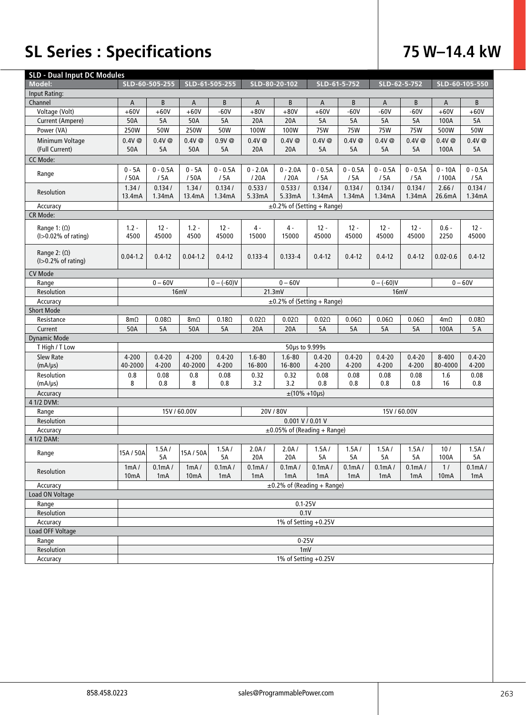# **SL Series : Specifications 75 W–14.4 kW**

| <b>SLD - Dual Input DC Modules</b> |                      |              |                   |                 |                  |                                   |                  |                     |                  |                  |                   |                  |
|------------------------------------|----------------------|--------------|-------------------|-----------------|------------------|-----------------------------------|------------------|---------------------|------------------|------------------|-------------------|------------------|
| Model:                             | SLD-60-505-255       |              | SLD-61-505-255    |                 | SLD-80-20-102    |                                   | SLD-61-5-752     |                     | SLD-62-5-752     |                  | SLD-60-105-550    |                  |
| Input Rating:                      |                      |              |                   |                 |                  |                                   |                  |                     |                  |                  |                   |                  |
| Channel                            | A                    | B            | A                 | B               | A                | B                                 | A                | B                   | A                | B                | A                 | B                |
| Voltage (Volt)                     | $+60V$               | $+60V$       | $+60V$            | $-60V$          | $+80V$           | $+80V$                            | $+60V$           | $-60V$              | $-60V$           | $-60V$           | $+60V$            | $+60V$           |
| Current (Ampere)                   | 50A                  | 5A           | 50A               | 5A              | 20A              | 20A                               | 5A               | 5A                  | 5A               | 5A               | 100A              | 5A               |
| Power (VA)                         | 250W                 | 50W          | 250W              | 50W             | 100W             | 100W                              | <b>75W</b>       | <b>75W</b>          | <b>75W</b>       | <b>75W</b>       | 500W              | <b>50W</b>       |
| Minimum Voltage                    | $0.4V$ @             | 0.4V@        | $0.4V$ @          | 0.9V@           | $0.4V$ @         | 0.4V @                            | $0.4V$ @         | $0.4V$ @            | $0.4V$ @         | 0.4V @           | $0.4V$ @          | 0.4V@            |
| (Full Current)                     | 50A                  | 5A           | 50A               | 5A              | 20A              | 20A                               | 5A               | 5A                  | 5A               | 5A               | 100A              | 5A               |
| CC Mode:                           |                      |              |                   |                 |                  |                                   |                  |                     |                  |                  |                   |                  |
|                                    | $0 - 5A$             | $0 - 0.5A$   | $0 - 5A$          | $0 - 0.5A$      | $0 - 2.0A$       | $0 - 2.0A$                        | $0 - 0.5A$       | $0 - 0.5A$          | $0 - 0.5A$       | $0 - 0.5A$       | $0 - 10A$         | $0 - 0.5A$       |
| Range                              | /50A                 | /5A          | /50A              | /5A             | /20A             | /20A                              | / 5A             | / 5A                | / 5A             | / 5A             | /100A             | /5A              |
|                                    | 1.34/                | 0.134/       | 1.34/             | 0.134/          | 0.533/           | 0.533/                            | 0.134/           | 0.134/              | 0.134/           | 0.134/           | 2.66/             | 0.134/           |
| Resolution                         | 13.4mA               | 1.34mA       | 13.4mA            | 1.34mA          | 5.33mA           | 5.33mA                            | 1.34mA           | 1.34mA              | 1.34mA           | 1.34mA           | 26.6mA            | 1.34mA           |
| Accuracy                           |                      |              |                   |                 |                  | $\pm 0.2\%$ of (Setting + Range)  |                  |                     |                  |                  |                   |                  |
| CR Mode:                           |                      |              |                   |                 |                  |                                   |                  |                     |                  |                  |                   |                  |
|                                    |                      |              |                   |                 |                  |                                   |                  |                     |                  |                  |                   |                  |
| Range 1: $(\Omega)$                | $1.2 -$<br>4500      | $12 -$       | $1.2 -$<br>4500   | $12 -$<br>45000 | $4 -$            | 4 -                               | $12 -$           | $12 -$              | $12 -$           | $12 -$           | $0.6 -$           | $12 -$<br>45000  |
| $(I>0.02\%$ of rating)             |                      | 45000        |                   |                 | 15000            | 15000                             | 45000            | 45000               | 45000            | 45000            | 2250              |                  |
| Range 2: $(\Omega)$                |                      |              |                   |                 |                  |                                   |                  |                     |                  |                  |                   |                  |
| $(I>0.2\%$ of rating)              | $0.04 - 1.2$         | $0.4 - 12$   | $0.04 - 1.2$      | $0.4 - 12$      | $0.133 - 4$      | $0.133 - 4$                       | $0.4 - 12$       | $0.4 - 12$          | $0.4 - 12$       | $0.4 - 12$       | $0.02 - 0.6$      | $0.4 - 12$       |
| <b>CV Mode</b>                     |                      |              |                   |                 |                  |                                   |                  |                     |                  |                  |                   |                  |
| Range                              |                      | $0 - 60V$    |                   | $0 - (-60)V$    |                  | $0 - 60V$                         |                  |                     | $0 - (-60)V$     |                  |                   | $0 - 60V$        |
| Resolution                         |                      |              |                   |                 | 21.3mV           |                                   |                  |                     | 16mV             |                  |                   |                  |
|                                    | 16mV                 |              |                   |                 |                  | $\pm 0.2\%$ of (Setting + Range)  |                  |                     |                  |                  |                   |                  |
| Accuracy                           |                      |              |                   |                 |                  |                                   |                  |                     |                  |                  |                   |                  |
| <b>Short Mode</b>                  |                      |              |                   |                 |                  |                                   |                  |                     |                  |                  |                   |                  |
| Resistance                         | $8m\Omega$           | $0.08\Omega$ | $8m\Omega$        | $0.18\Omega$    | $0.02\Omega$     | $0.02\Omega$                      | $0.02\Omega$     | $0.06\Omega$        | $0.06\Omega$     | $0.06\Omega$     | $4m\Omega$        | $0.08\Omega$     |
| Current                            | 50A                  | 5A           | 50A               | 5A              | 20A              | 20A                               | 5A               | 5A                  | 5A               | 5A               | 100A              | 5A               |
| <b>Dynamic Mode</b>                |                      |              |                   |                 |                  |                                   |                  |                     |                  |                  |                   |                  |
| T High / T Low                     |                      |              |                   |                 |                  | 50µs to 9.999s                    |                  |                     |                  |                  |                   |                  |
| <b>Slew Rate</b>                   | 4-200                | $0.4 - 20$   | 4-200             | $0.4 - 20$      | $1.6 - 80$       | $1.6 - 80$                        | $0.4 - 20$       | $0.4 - 20$          | $0.4 - 20$       | $0.4 - 20$       | $8 - 400$         | $0.4 - 20$       |
| $(mA/\mu s)$                       | 40-2000              | 4-200        | 40-2000           | 4-200           | 16-800           | 16-800                            | 4-200            | 4-200               | 4-200            | 4-200            | 80-4000           | 4-200            |
| Resolution                         | 0.8                  | 0.08         | 0.8               | 0.08            | 0.32             | 0.32                              | 0.08             | 0.08                | 0.08             | 0.08             | 1.6               | 0.08             |
| $(mA/\mu s)$                       | 8                    | 0.8          | 8                 | 0.8             | 3.2              | 3.2                               | 0.8              | 0.8                 | 0.8              | 0.8              | 16                | 0.8              |
| Accuracy                           |                      |              |                   |                 |                  | $\pm(10\% + 10\mu s)$             |                  |                     |                  |                  |                   |                  |
| 4 1/2 DVM:                         |                      |              |                   |                 |                  |                                   |                  |                     |                  |                  |                   |                  |
| Range                              |                      |              | 15V / 60.00V      |                 | 20V / 80V        |                                   |                  |                     | 15V / 60.00V     |                  |                   |                  |
| Resolution                         |                      |              |                   |                 |                  | $0.001$ V / 0.01 V                |                  |                     |                  |                  |                   |                  |
| Accuracy                           |                      |              |                   |                 |                  | $\pm 0.05\%$ of (Reading + Range) |                  |                     |                  |                  |                   |                  |
| 4 1/2 DAM:                         |                      |              |                   |                 |                  |                                   |                  |                     |                  |                  |                   |                  |
| Range                              | 15A / 50A            | 1.5A/        | 15A / 50A         | 1.5A/           | 2.0A/            | 2.0A/                             | 1.5A/            | 1.5A/               | 1.5A/            | 1.5A/            | 10/               | 1.5A/            |
|                                    |                      | 5A           |                   | 5A              | 20A              | 20A                               | 5A               | 5A                  | 5A               | 5A               | 100A              | 5A               |
| Resolution                         | 1mA/                 | 0.1mA/       | 1mA/              | 0.1mA/          | 0.1mA/           | 0.1mA/                            | 0.1mA/           | 0.1 <sub>m</sub> A/ | 0.1mA/           | 0.1mA/           | 1/                | 0.1mA/           |
|                                    | 10 <sub>m</sub> A    | 1mA          | 10 <sub>m</sub> A | 1mA             | 1 <sub>m</sub> A | 1 <sub>m</sub> A                  | 1 <sub>m</sub> A | 1mA                 | 1 <sub>m</sub> A | 1 <sub>m</sub> A | 10 <sub>m</sub> A | 1 <sub>m</sub> A |
| Accuracy                           |                      |              |                   |                 |                  | $\pm$ 0.2% of (Reading + Range)   |                  |                     |                  |                  |                   |                  |
| Load ON Voltage                    |                      |              |                   |                 |                  |                                   |                  |                     |                  |                  |                   |                  |
| Range                              |                      |              |                   |                 |                  | $0.1 - 25V$                       |                  |                     |                  |                  |                   |                  |
| Resolution                         |                      |              |                   |                 |                  | 0.1V                              |                  |                     |                  |                  |                   |                  |
| Accuracy                           |                      |              |                   |                 |                  | 1% of Setting +0.25V              |                  |                     |                  |                  |                   |                  |
| Load OFF Voltage                   |                      |              |                   |                 |                  |                                   |                  |                     |                  |                  |                   |                  |
| Range                              |                      |              |                   |                 |                  | $0-25V$                           |                  |                     |                  |                  |                   |                  |
| Resolution                         |                      |              |                   |                 |                  | 1mV                               |                  |                     |                  |                  |                   |                  |
| Accuracy                           | 1% of Setting +0.25V |              |                   |                 |                  |                                   |                  |                     |                  |                  |                   |                  |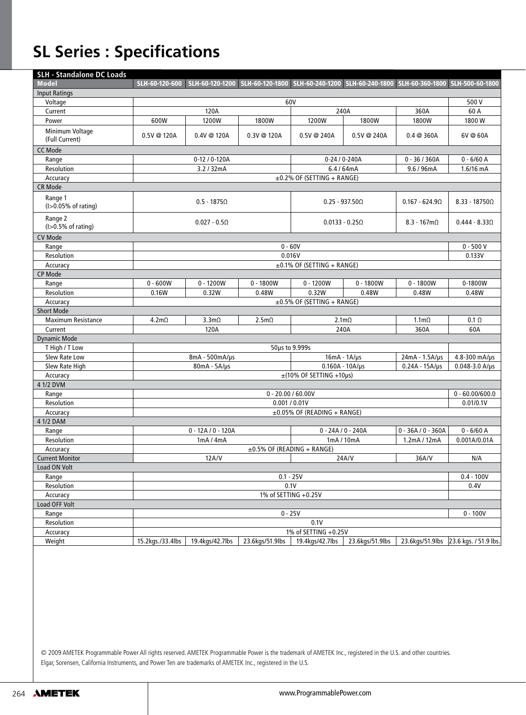## **SL Series : Specifications**

| <b>SLH - Standalone DC Loads</b>  |                                                                       |                      |                   |                                   |                       |                                                                                                                |                                       |
|-----------------------------------|-----------------------------------------------------------------------|----------------------|-------------------|-----------------------------------|-----------------------|----------------------------------------------------------------------------------------------------------------|---------------------------------------|
| <b>Model</b>                      |                                                                       |                      |                   |                                   |                       | SLH-60-120-600 SLH-60-120-1200 SLH-60-120-1800 SLH-60-240-1200 SLH-60-240-1800 SLH-60-360-1800 SLH-500-60-1800 |                                       |
| <b>Input Ratings</b>              |                                                                       |                      |                   |                                   |                       |                                                                                                                |                                       |
| Voltage                           | 60V<br>500 V                                                          |                      |                   |                                   |                       |                                                                                                                |                                       |
| Current                           | 120A                                                                  |                      |                   | 240A                              |                       | 360A                                                                                                           | 60 A                                  |
| Power                             | 600W                                                                  | 1200W                | 1800W             | 1200W                             | 1800W                 | 1800W                                                                                                          | 1800W                                 |
| Minimum Voltage<br>(Full Current) | 0.5V@120A                                                             | $0.4V \t@ 120A$      | 0.3V @ 120A       | 0.5V @ 240A                       | 0.5V @ 240A           | 0.4@360A                                                                                                       | 6V@60A                                |
| CC Mode                           |                                                                       |                      |                   |                                   |                       |                                                                                                                |                                       |
| Range                             |                                                                       | 0-12 / 0-120A        |                   |                                   | 0-24 / 0-240A         | $0 - 36/360A$                                                                                                  | $0 - 6/60$ A                          |
| Resolution                        |                                                                       | 3.2 / 32mA           |                   | 6.4/64mA                          |                       | 9.6 / 96mA                                                                                                     | $1.6/16$ mA                           |
| Accuracy                          |                                                                       |                      |                   | ±0.2% OF (SETTING + RANGE)        |                       |                                                                                                                |                                       |
| CR Mode                           |                                                                       |                      |                   |                                   |                       |                                                                                                                |                                       |
| Range 1<br>(I>0.05% of rating)    | $0.5 - 1875\Omega$<br>$0.25 - 937.50\Omega$<br>$0.167 - 624.9 \Omega$ |                      |                   |                                   |                       | $8.33 - 187500$                                                                                                |                                       |
| Range 2<br>$(I>0.5%$ of rating)   |                                                                       | $0.027 - 0.5\Omega$  |                   |                                   | $0.0133 - 0.25\Omega$ | $8.3 - 167 \text{m}\Omega$                                                                                     | $0.444 - 8.330$                       |
| CV Mode                           |                                                                       |                      |                   |                                   |                       |                                                                                                                |                                       |
| Range                             |                                                                       |                      |                   | $0 - 60V$                         |                       |                                                                                                                | $0 - 500V$                            |
| Resolution                        |                                                                       |                      |                   | 0.016V                            |                       |                                                                                                                | 0.133V                                |
| Accuracy                          |                                                                       |                      |                   | $\pm 0.1\%$ OF (SETTING + RANGE)  |                       |                                                                                                                |                                       |
| <b>CP Mode</b>                    |                                                                       |                      |                   |                                   |                       |                                                                                                                |                                       |
| Range                             | $0 - 600W$                                                            | $0 - 1200W$          | $0 - 1800W$       | $0 - 1200W$                       | $0 - 1800W$           | $0 - 1800W$                                                                                                    | 0-1800W                               |
| Resolution                        | 0.16W                                                                 | 0.32W                | 0.48W             | 0.32W                             | 0.48W                 | 0.48W                                                                                                          | 0.48W                                 |
| Accuracy                          |                                                                       |                      |                   | $\pm$ 0.5% OF (SETTING + RANGE)   |                       |                                                                                                                |                                       |
| <b>Short Mode</b>                 |                                                                       |                      |                   |                                   |                       |                                                                                                                |                                       |
| <b>Maximum Resistance</b>         | 4.2m <sub>Ω</sub>                                                     | 3.3m <sub>Ω</sub>    | 2.5m <sub>Ω</sub> | $2.1m\Omega$                      |                       | $1.1m\Omega$                                                                                                   | $0.1 \Omega$                          |
| Current                           |                                                                       | 120A                 |                   | 240A                              |                       | 360A                                                                                                           | 60A                                   |
| <b>Dynamic Mode</b>               |                                                                       |                      |                   |                                   |                       |                                                                                                                |                                       |
| T High / T Low                    |                                                                       |                      |                   | 50µs to 9.999s                    |                       |                                                                                                                |                                       |
| Slew Rate Low                     |                                                                       | 8mA - 500mA/us       |                   | $16mA - 1A/µs$<br>24mA - 1.5A/µs  |                       |                                                                                                                | 4.8-300 mA/us                         |
| Slew Rate High                    |                                                                       | $80mA - 5A/µs$       |                   |                                   | $0.160A - 10A/\mu s$  | $0.24A - 15A/\mu s$                                                                                            | $0.048 - 3.0 A/\mu s$                 |
| Accuracy                          |                                                                       |                      |                   | $\pm$ (10% OF SETTING +10µs)      |                       |                                                                                                                |                                       |
| 4 1/2 DVM                         |                                                                       |                      |                   |                                   |                       |                                                                                                                |                                       |
| Range                             |                                                                       |                      |                   | $0 - 20.00 / 60.00V$              |                       |                                                                                                                | $0 - 60.00/600.0$                     |
| Resolution                        |                                                                       |                      |                   | 0.001 / 0.01V                     |                       |                                                                                                                | 0.01/0.1V                             |
| Accuracy<br>4 1/2 DAM             |                                                                       |                      |                   | $\pm 0.05\%$ OF (READING + RANGE) |                       |                                                                                                                |                                       |
| Range                             |                                                                       | $0 - 12A / 0 - 120A$ |                   | $0 - 24A / 0 - 240A$              |                       | $0 - 36A / 0 - 360A$                                                                                           | $0 - 6/60$ A                          |
| <b>Resolution</b>                 |                                                                       | 1mA/4mA              |                   |                                   | 1mA / 10mA            | 1.2mA / 12mA                                                                                                   | 0.001A/0.01A                          |
| Accuracy                          |                                                                       |                      |                   | $\pm 0.5\%$ OF (READING + RANGE)  |                       |                                                                                                                |                                       |
| <b>Current Monitor</b>            |                                                                       | 12A/V                |                   |                                   | 24A/V                 | 36A/V                                                                                                          | N/A                                   |
| Load ON Volt                      |                                                                       |                      |                   |                                   |                       |                                                                                                                |                                       |
| Range                             | $0.1 - 25V$<br>$0.4 - 100V$                                           |                      |                   |                                   |                       |                                                                                                                |                                       |
| Resolution                        | 0.1V                                                                  |                      |                   |                                   |                       |                                                                                                                | 0.4V                                  |
| Accuracy                          | 1% of SETTING +0.25V                                                  |                      |                   |                                   |                       |                                                                                                                |                                       |
| Load OFF Volt                     |                                                                       |                      |                   |                                   |                       |                                                                                                                |                                       |
| Range                             |                                                                       |                      |                   | $0 - 25V$                         |                       |                                                                                                                | $0 - 100V$                            |
| Resolution                        |                                                                       |                      |                   | 0.1V                              |                       |                                                                                                                |                                       |
| Accuracy                          |                                                                       |                      |                   | 1% of SETTING +0.25V              |                       |                                                                                                                |                                       |
| Weight                            | 15.2kgs./33.4lbs                                                      | 19.4kgs/42.7lbs      | 23.6kgs/51.9lbs   | 19.4kgs/42.7lbs                   | 23.6kgs/51.9lbs       |                                                                                                                | 23.6kgs/51.9lbs 23.6 kgs. / 51.9 lbs. |
|                                   |                                                                       |                      |                   |                                   |                       |                                                                                                                |                                       |
|                                   |                                                                       |                      |                   |                                   |                       |                                                                                                                |                                       |

© 2009 AMETEK Programmable Power All rights reserved. AMETEK Programmable Power is the trademark of AMETEK Inc., registered in the U.S. and other countries. Elgar, Sorensen, California Instruments, and Power Ten are trademarks of AMETEK Inc., registered in the U.S.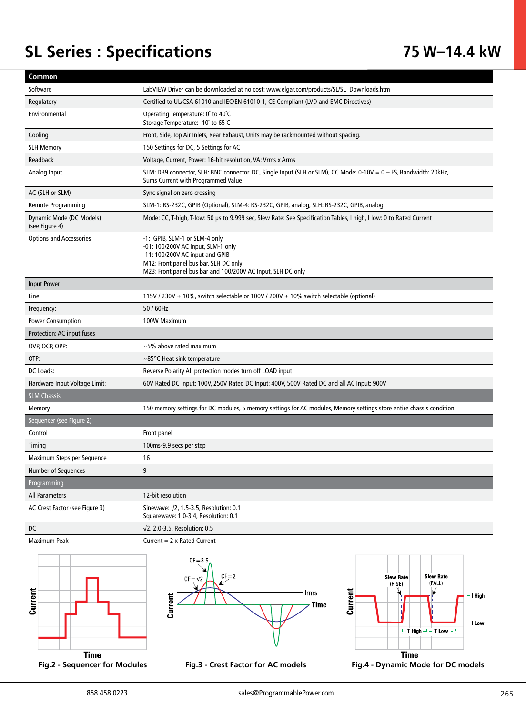## **SL Series : Specifications 75 W–14.4 kW**

| Common                                     |                                                                                                                                                                                                                |  |  |  |  |  |  |
|--------------------------------------------|----------------------------------------------------------------------------------------------------------------------------------------------------------------------------------------------------------------|--|--|--|--|--|--|
| Software                                   | LabVIEW Driver can be downloaded at no cost: www.elgar.com/products/SL/SL_Downloads.htm                                                                                                                        |  |  |  |  |  |  |
| Regulatory                                 | Certified to UL/CSA 61010 and IEC/EN 61010-1, CE Compliant (LVD and EMC Directives)                                                                                                                            |  |  |  |  |  |  |
| Environmental                              | Operating Temperature: 0° to 40°C<br>Storage Temperature: -10° to 65°C                                                                                                                                         |  |  |  |  |  |  |
| Cooling                                    | Front, Side, Top Air Inlets, Rear Exhaust, Units may be rackmounted without spacing.                                                                                                                           |  |  |  |  |  |  |
| <b>SLH Memory</b>                          | 150 Settings for DC, 5 Settings for AC                                                                                                                                                                         |  |  |  |  |  |  |
| Readback                                   | Voltage, Current, Power: 16-bit resolution, VA: Vrms x Arms                                                                                                                                                    |  |  |  |  |  |  |
| Analog Input                               | SLM: DB9 connector, SLH: BNC connector. DC, Single Input (SLH or SLM), CC Mode: 0-10V = 0 - FS, Bandwidth: 20kHz,<br>Sums Current with Programmed Value                                                        |  |  |  |  |  |  |
| AC (SLH or SLM)                            | Sync signal on zero crossing                                                                                                                                                                                   |  |  |  |  |  |  |
| <b>Remote Programming</b>                  | SLM-1: RS-232C, GPIB (Optional), SLM-4: RS-232C, GPIB, analog, SLH: RS-232C, GPIB, analog                                                                                                                      |  |  |  |  |  |  |
| Dynamic Mode (DC Models)<br>(see Figure 4) | Mode: CC, T-high, T-low: 50 us to 9.999 sec, Slew Rate: See Specification Tables, I high, I low: 0 to Rated Current                                                                                            |  |  |  |  |  |  |
| <b>Options and Accessories</b>             | -1: GPIB, SLM-1 or SLM-4 only<br>-01: 100/200V AC input, SLM-1 only<br>-11: 100/200V AC input and GPIB<br>M12: Front panel bus bar, SLH DC only<br>M23: Front panel bus bar and 100/200V AC Input, SLH DC only |  |  |  |  |  |  |
| <b>Input Power</b>                         |                                                                                                                                                                                                                |  |  |  |  |  |  |
| Line:                                      | 115V / 230V $\pm$ 10%, switch selectable or 100V / 200V $\pm$ 10% switch selectable (optional)                                                                                                                 |  |  |  |  |  |  |
| Frequency:                                 | 50 / 60Hz                                                                                                                                                                                                      |  |  |  |  |  |  |
| <b>Power Consumption</b>                   | 100W Maximum                                                                                                                                                                                                   |  |  |  |  |  |  |
| Protection: AC input fuses                 |                                                                                                                                                                                                                |  |  |  |  |  |  |
| OVP, OCP, OPP:                             | $~1$ -5% above rated maximum                                                                                                                                                                                   |  |  |  |  |  |  |
| OTP:                                       | $\sim$ 85°C Heat sink temperature                                                                                                                                                                              |  |  |  |  |  |  |
| DC Loads:                                  | Reverse Polarity All protection modes turn off LOAD input                                                                                                                                                      |  |  |  |  |  |  |
| Hardware Input Voltage Limit:              | 60V Rated DC Input: 100V, 250V Rated DC Input: 400V, 500V Rated DC and all AC Input: 900V                                                                                                                      |  |  |  |  |  |  |
| <b>SLM Chassis</b>                         |                                                                                                                                                                                                                |  |  |  |  |  |  |
| Memory                                     | 150 memory settings for DC modules, 5 memory settings for AC modules, Memory settings store entire chassis condition                                                                                           |  |  |  |  |  |  |
| Sequencer (see Figure 2)                   |                                                                                                                                                                                                                |  |  |  |  |  |  |
| Control                                    | Front panel                                                                                                                                                                                                    |  |  |  |  |  |  |
| Timing                                     | 100ms-9.9 secs per step                                                                                                                                                                                        |  |  |  |  |  |  |
| Maximum Steps per Sequence                 | 16                                                                                                                                                                                                             |  |  |  |  |  |  |
| Number of Sequences                        | 9                                                                                                                                                                                                              |  |  |  |  |  |  |
| Programming                                |                                                                                                                                                                                                                |  |  |  |  |  |  |
| All Parameters                             | 12-bit resolution                                                                                                                                                                                              |  |  |  |  |  |  |
| AC Crest Factor (see Figure 3)             | Sinewave: $\sqrt{2}$ , 1.5-3.5, Resolution: 0.1<br>Squarewave: 1.0-3.4, Resolution: 0.1                                                                                                                        |  |  |  |  |  |  |
| DC                                         | $\sqrt{2}$ , 2.0-3.5, Resolution: 0.5                                                                                                                                                                          |  |  |  |  |  |  |
| Maximum Peak                               | Current = $2 \times$ Rated Current                                                                                                                                                                             |  |  |  |  |  |  |
| Current                                    | $CF = 3.5$<br>$CF = 2$<br><b>Slew Rate</b><br><b>Slew Rate</b><br>$CF = \sqrt{2}$<br>(FALL)<br>(RISE)<br>Current<br>Irms<br>I High<br><b>Jurrent</b><br><b>Time</b>                                            |  |  |  |  |  |  |

**Time** 



**Time Fig.2 - Sequencer for Modules Fig.3 - Crest Factor for AC models Fig.4 - Dynamic Mode for DC models**

**For T High .......... T Low ......** 

- I Low